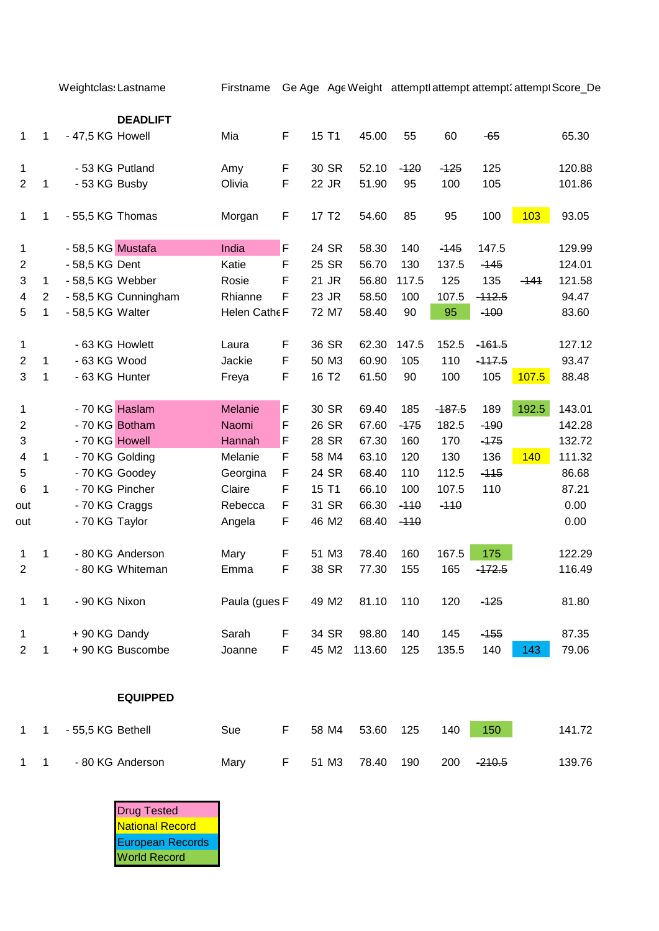Weightclas: Lastname Firstname Ge Age AgeWeight attemptl attempt attempt<br/>
attempt3core\_De

|                |                |                   | <b>DEADLIFT</b>      |                |   |                   |        |        |          |          |        |        |
|----------------|----------------|-------------------|----------------------|----------------|---|-------------------|--------|--------|----------|----------|--------|--------|
| 1              | 1              | - 47,5 KG Howell  |                      | Mia            | F | 15 T1             | 45.00  | 55     | 60       | -65      |        | 65.30  |
| 1              |                | - 53 KG Putland   |                      | Amy            | F | 30 SR             | 52.10  | $-120$ | $-125$   | 125      |        | 120.88 |
| $\overline{2}$ | $\mathbf 1$    | - 53 KG Busby     |                      | Olivia         | F | 22 JR             | 51.90  | 95     | 100      | 105      |        | 101.86 |
| $\mathbf{1}$   | 1              | - 55,5 KG Thomas  |                      | Morgan         | F | 17 T <sub>2</sub> | 54.60  | 85     | 95       | 100      | 103    | 93.05  |
| 1              |                | - 58,5 KG Mustafa |                      | India          | F | 24 SR             | 58.30  | 140    | $-145$   | 147.5    |        | 129.99 |
| $\overline{2}$ |                | - 58,5 KG Dent    |                      | Katie          | F | 25 SR             | 56.70  | 130    | 137.5    | $-145$   |        | 124.01 |
| 3              | $\mathbf{1}$   | - 58,5 KG Webber  |                      | Rosie          | F | 21 JR             | 56.80  | 117.5  | 125      | 135      | $-141$ | 121.58 |
| 4              | $\overline{c}$ |                   | - 58,5 KG Cunningham | Rhianne        | F | 23 JR             | 58.50  | 100    | 107.5    | $-112.5$ |        | 94.47  |
| 5              | $\mathbf{1}$   | - 58,5 KG Walter  |                      | Helen Cathe F  |   | 72 M7             | 58.40  | 90     | 95       | $-100$   |        | 83.60  |
| 1              |                |                   | - 63 KG Howlett      | Laura          | F | 36 SR             | 62.30  | 147.5  | 152.5    | $-161.5$ |        | 127.12 |
| $\overline{2}$ | $\mathbf{1}$   | - 63 KG Wood      |                      | Jackie         | F | 50 M3             | 60.90  | 105    | 110      | $-117.5$ |        | 93.47  |
| 3              | $\mathbf{1}$   | - 63 KG Hunter    |                      | Freya          | F | 16 T <sub>2</sub> | 61.50  | 90     | 100      | 105      | 107.5  | 88.48  |
| 1              |                | - 70 KG Haslam    |                      | <b>Melanie</b> | F | 30 SR             | 69.40  | 185    | $-187.5$ | 189      | 192.5  | 143.01 |
| $\mathbf 2$    |                |                   | - 70 KG Botham       | Naomi          | F | 26 SR             | 67.60  | $-175$ | 182.5    | $-190$   |        | 142.28 |
| 3              |                | - 70 KG Howell    |                      | Hannah         | F | 28 SR             | 67.30  | 160    | 170      | $-175$   |        | 132.72 |
| 4              | $\mathbf{1}$   |                   | - 70 KG Golding      | Melanie        | F | 58 M4             | 63.10  | 120    | 130      | 136      | 140    | 111.32 |
| 5              |                |                   | - 70 KG Goodey       | Georgina       | F | 24 SR             | 68.40  | 110    | 112.5    | $-115$   |        | 86.68  |
| 6              | 1              |                   | - 70 KG Pincher      | Claire         | F | 15 T1             | 66.10  | 100    | 107.5    | 110      |        | 87.21  |
| out            |                | - 70 KG Craggs    |                      | Rebecca        | F | 31 SR             | 66.30  | $-110$ | $-110$   |          |        | 0.00   |
| out            |                | - 70 KG Taylor    |                      | Angela         | F | 46 M2             | 68.40  | $-110$ |          |          |        | 0.00   |
| 1              | 1              |                   | - 80 KG Anderson     | Mary           | F | 51 M3             | 78.40  | 160    | 167.5    | 175      |        | 122.29 |
| 2              |                |                   | - 80 KG Whiteman     | Emma           | F | 38 SR             | 77.30  | 155    | 165      | $-472.5$ |        | 116.49 |
| 1              | $\mathbf{1}$   | - 90 KG Nixon     |                      | Paula (gues F  |   | 49 M2             | 81.10  | 110    | 120      | $-125$   |        | 81.80  |
| 1              |                | +90 KG Dandy      |                      | Sarah          | F | 34 SR             | 98.80  | 140    | 145      | $-155$   |        | 87.35  |
| $\overline{2}$ | 1              |                   | +90 KG Buscombe      | Joanne         | F | 45 M2             | 113.60 | 125    | 135.5    | 140      | 143    | 79.06  |
|                |                |                   |                      |                |   |                   |        |        |          |          |        |        |

**EQUIPPED**

1 1 - 55,5 KG Bethell Sue F 58 M4 53.60 125 140 150 141.72 1 1 - 80 KG Anderson Mary F 51 M3 78.40 190 200 - 210.5 139.76

> Drug Tested National Record European Records World Record